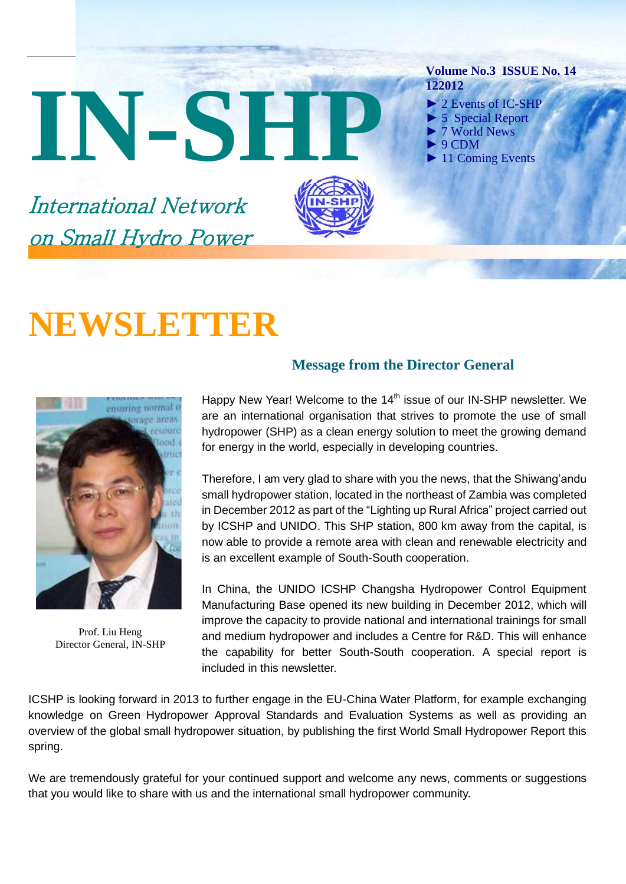# IN-SH



#### **Volume No.3 ISSUE No. 14 122012**

- ► 2 Events of IC-SHP
- 5 Special Report
- ► 7 World News
- ► 9 CDM
- 11 Coming Events

International Network on Small Hydro Power

# **NEWSLETTER**



Prof. Liu Heng Director General, IN-SHP

#### **Message from the Director General**

Happy New Year! Welcome to the 14<sup>th</sup> issue of our IN-SHP newsletter. We are an international organisation that strives to promote the use of small hydropower (SHP) as a clean energy solution to meet the growing demand for energy in the world, especially in developing countries.

Therefore, I am very glad to share with you the news, that the Shiwang'andu small hydropower station, located in the northeast of Zambia was completed in December 2012 as part of the "Lighting up Rural Africa" project carried out by ICSHP and UNIDO. This SHP station, 800 km away from the capital, is now able to provide a remote area with clean and renewable electricity and is an excellent example of South-South cooperation.

In China, the UNIDO ICSHP Changsha Hydropower Control Equipment Manufacturing Base opened its new building in December 2012, which will improve the capacity to provide national and international trainings for small and medium hydropower and includes a Centre for R&D. This will enhance the capability for better South-South cooperation. A special report is included in this newsletter.

ICSHP is looking forward in 2013 to further engage in the EU-China Water Platform, for example exchanging knowledge on Green Hydropower Approval Standards and Evaluation Systems as well as providing an overview of the global small hydropower situation, by publishing the first World Small Hydropower Report this spring.

We are tremendously grateful for your continued support and welcome any news, comments or suggestions that you would like to share with us and the international small hydropower community.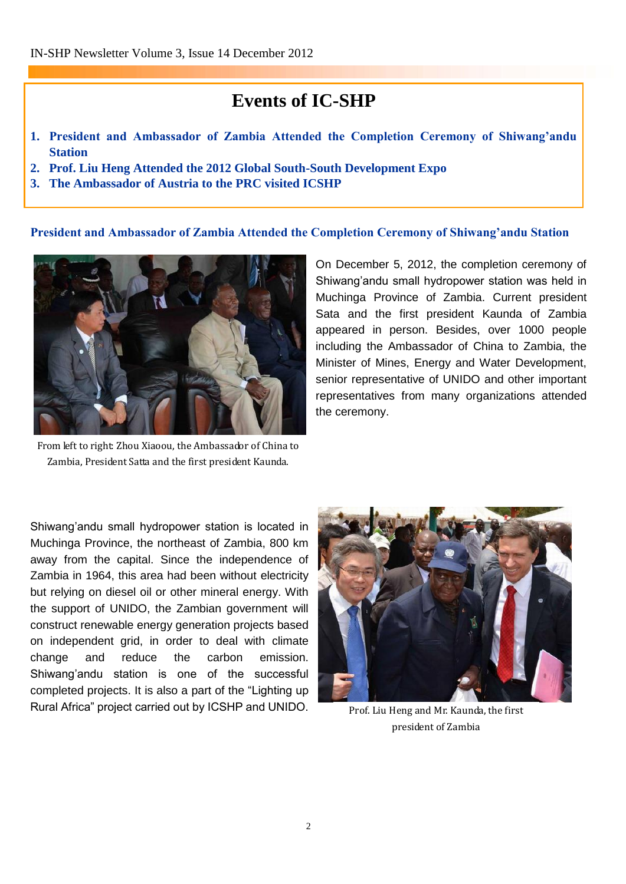# **Events of IC-SHP**

- **1. President and Ambassador of Zambia Attended the Completion Ceremony of Shiwang'andu Station**
- **2. Prof. Liu Heng Attended the 2012 Global South-South Development Expo**
- **3. The Ambassador of Austria to the PRC visited ICSHP**

#### **President and Ambassador of Zambia Attended the Completion Ceremony of Shiwang'andu Station**



From left to right: Zhou Xiaoou, the Ambassador of China to Zambia, President Satta and the first president Kaunda.

On December 5, 2012, the completion ceremony of Shiwang'andu small hydropower station was held in Muchinga Province of Zambia. Current president Sata and the first president Kaunda of Zambia appeared in person. Besides, over 1000 people including the Ambassador of China to Zambia, the Minister of Mines, Energy and Water Development, senior representative of UNIDO and other important representatives from many organizations attended the ceremony.

Shiwang'andu small hydropower station is located in Muchinga Province, the northeast of Zambia, 800 km away from the capital. Since the independence of Zambia in 1964, this area had been without electricity but relying on diesel oil or other mineral energy. With the support of UNIDO, the Zambian government will construct renewable energy generation projects based on independent grid, in order to deal with climate change and reduce the carbon emission. Shiwang'andu station is one of the successful completed projects. It is also a part of the "Lighting up Rural Africa" project carried out by ICSHP and UNIDO.



Prof. Liu Heng and Mr. Kaunda, the first president of Zambia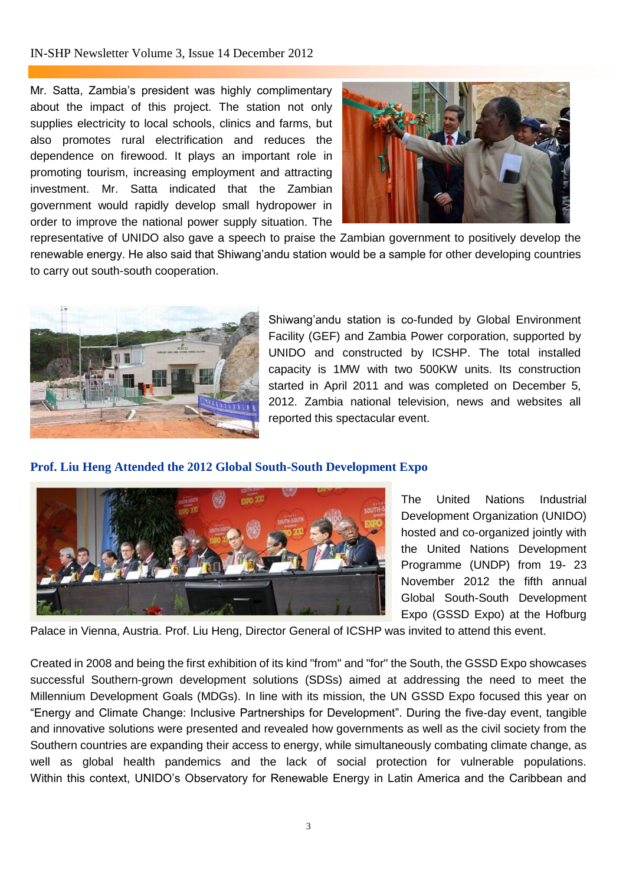#### IN-SHP Newsletter Volume 3, Issue 14 December 2012

Mr. Satta, Zambia's president was highly complimentary about the impact of this project. The station not only supplies electricity to local schools, clinics and farms, but also promotes rural electrification and reduces the dependence on firewood. It plays an important role in promoting tourism, increasing employment and attracting investment. Mr. Satta indicated that the Zambian government would rapidly develop small hydropower in order to improve the national power supply situation. The



representative of UNIDO also gave a speech to praise the Zambian government to positively develop the renewable energy. He also said that Shiwang'andu station would be a sample for other developing countries to carry out south-south cooperation.



Shiwang'andu station is co-funded by Global Environment Facility (GEF) and Zambia Power corporation, supported by UNIDO and constructed by ICSHP. The total installed capacity is 1MW with two 500KW units. Its construction started in April 2011 and was completed on December 5, 2012. Zambia national television, news and websites all reported this spectacular event.

#### **Prof. Liu Heng Attended the 2012 Global South-South Development Expo**



The United Nations Industrial Development Organization (UNIDO) hosted and co-organized jointly with the United Nations Development Programme (UNDP) from 19- 23 November 2012 the fifth annual Global South-South Development Expo (GSSD Expo) at the Hofburg

Palace in Vienna, Austria. Prof. Liu Heng, Director General of ICSHP was invited to attend this event.

Created in 2008 and being the first exhibition of its kind "from" and "for" the South, the GSSD Expo showcases successful Southern-grown development solutions (SDSs) aimed at addressing the need to meet the Millennium Development Goals (MDGs). In line with its mission, the UN GSSD Expo focused this year on "Energy and Climate Change: Inclusive Partnerships for Development". During the five-day event, tangible and innovative solutions were presented and revealed how governments as well as the civil society from the Southern countries are expanding their access to energy, while simultaneously combating climate change, as well as global health pandemics and the lack of social protection for vulnerable populations. Within this context, UNIDO's Observatory for Renewable Energy in Latin America and the Caribbean and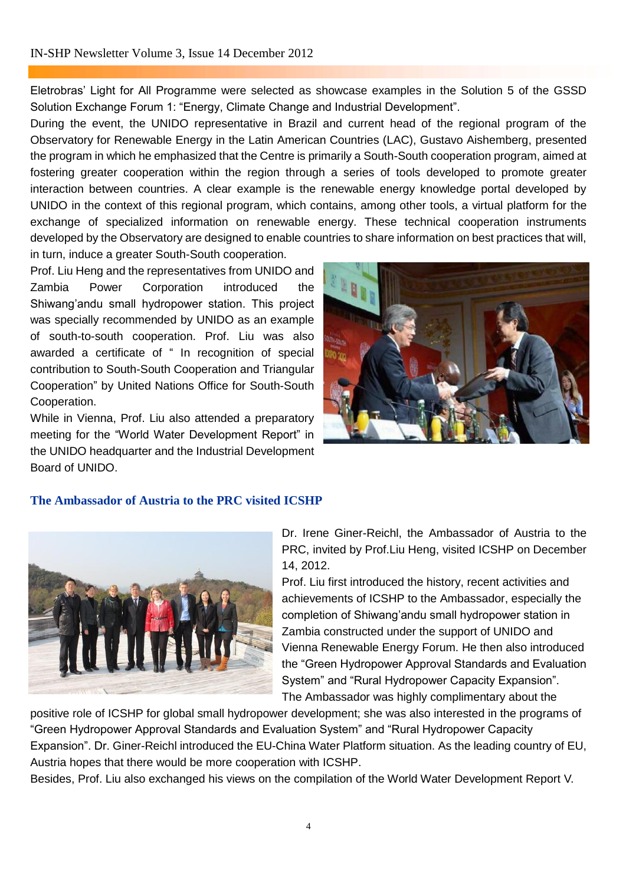#### IN-SHP Newsletter Volume 3, Issue 14 December 2012

Eletrobras' Light for All Programme were selected as showcase examples in the Solution 5 of the GSSD Solution Exchange Forum 1: "Energy, Climate Change and Industrial Development".

During the event, the UNIDO representative in Brazil and current head of the regional program of the Observatory for Renewable Energy in the Latin American Countries (LAC), Gustavo Aishemberg, presented the program in which he emphasized that the Centre is primarily a South-South cooperation program, aimed at fostering greater cooperation within the region through a series of tools developed to promote greater interaction between countries. A clear example is the renewable energy knowledge portal developed by UNIDO in the context of this regional program, which contains, among other tools, a virtual platform for the exchange of specialized information on renewable energy. These technical cooperation instruments developed by the Observatory are designed to enable countries to share information on best practices that will, in turn, induce a greater South-South cooperation.

Prof. Liu Heng and the representatives from UNIDO and Zambia Power Corporation introduced the Shiwang'andu small hydropower station. This project was specially recommended by UNIDO as an example of south-to-south cooperation. Prof. Liu was also awarded a certificate of " In recognition of special contribution to South-South Cooperation and Triangular Cooperation" by United Nations Office for South-South Cooperation.

While in Vienna, Prof. Liu also attended a preparatory meeting for the "World Water Development Report" in the UNIDO headquarter and the Industrial Development Board of UNIDO.



#### **The Ambassador of Austria to the PRC visited ICSHP**



Dr. Irene Giner-Reichl, the Ambassador of Austria to the PRC, invited by Prof.Liu Heng, visited ICSHP on December 14, 2012.

Prof. Liu first introduced the history, recent activities and achievements of ICSHP to the Ambassador, especially the completion of Shiwang'andu small hydropower station in Zambia constructed under the support of UNIDO and Vienna Renewable Energy Forum. He then also introduced the "Green Hydropower Approval Standards and Evaluation System" and "Rural Hydropower Capacity Expansion". The Ambassador was highly complimentary about the

positive role of ICSHP for global small hydropower development; she was also interested in the programs of "Green Hydropower Approval Standards and Evaluation System" and "Rural Hydropower Capacity Expansion". Dr. Giner-Reichl introduced the EU-China Water Platform situation. As the leading country of EU, Austria hopes that there would be more cooperation with ICSHP.

Besides, Prof. Liu also exchanged his views on the compilation of the World Water Development Report V.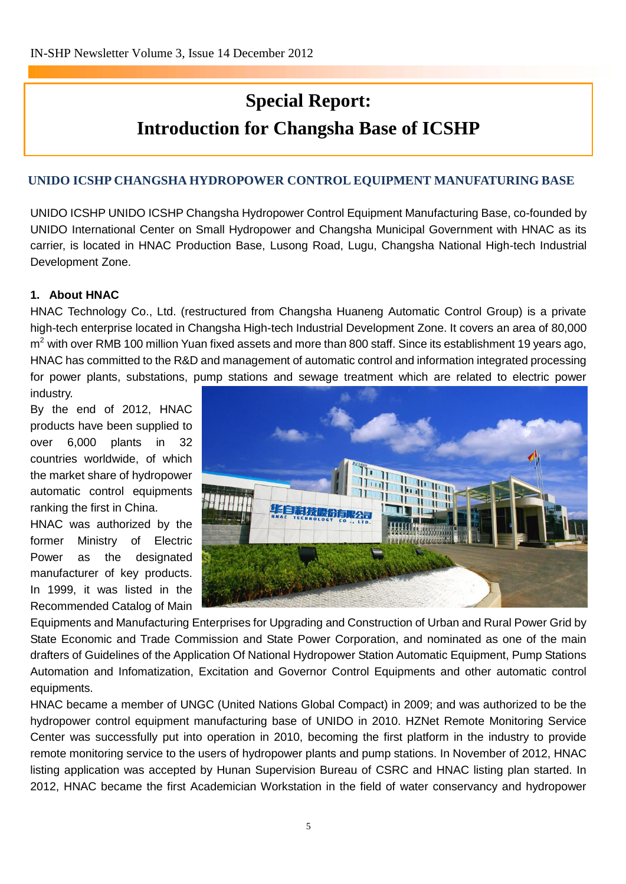# **Special Report: Introduction for Changsha Base of ICSHP**

#### **UNIDO ICSHP CHANGSHA HYDROPOWER CONTROL EQUIPMENT MANUFATURING BASE**

UNIDO ICSHP UNIDO ICSHP Changsha Hydropower Control Equipment Manufacturing Base, co-founded by UNIDO International Center on Small Hydropower and Changsha Municipal Government with HNAC as its carrier, is located in HNAC Production Base, Lusong Road, Lugu, Changsha National High-tech Industrial Development Zone.

#### **1. About HNAC**

HNAC Technology Co., Ltd. (restructured from Changsha Huaneng Automatic Control Group) is a private high-tech enterprise located in Changsha High-tech Industrial Development Zone. It covers an area of 80,000 m<sup>2</sup> with over RMB 100 million Yuan fixed assets and more than 800 staff. Since its establishment 19 years ago, HNAC has committed to the R&D and management of automatic control and information integrated processing for power plants, substations, pump stations and sewage treatment which are related to electric power industry.

By the end of 2012, HNAC products have been supplied to over 6,000 plants in 32 countries worldwide, of which the market share of hydropower automatic control equipments ranking the first in China.

HNAC was authorized by the former Ministry of Electric Power as the designated manufacturer of key products. In 1999, it was listed in the Recommended Catalog of Main



Equipments and Manufacturing Enterprises for Upgrading and Construction of Urban and Rural Power Grid by State Economic and Trade Commission and State Power Corporation, and nominated as one of the main drafters of Guidelines of the Application Of National Hydropower Station Automatic Equipment, Pump Stations Automation and Infomatization, Excitation and Governor Control Equipments and other automatic control equipments.

HNAC became a member of UNGC (United Nations Global Compact) in 2009; and was authorized to be the hydropower control equipment manufacturing base of UNIDO in 2010. HZNet Remote Monitoring Service Center was successfully put into operation in 2010, becoming the first platform in the industry to provide remote monitoring service to the users of hydropower plants and pump stations. In November of 2012, HNAC listing application was accepted by Hunan Supervision Bureau of CSRC and HNAC listing plan started. In 2012, HNAC became the first Academician Workstation in the field of water conservancy and hydropower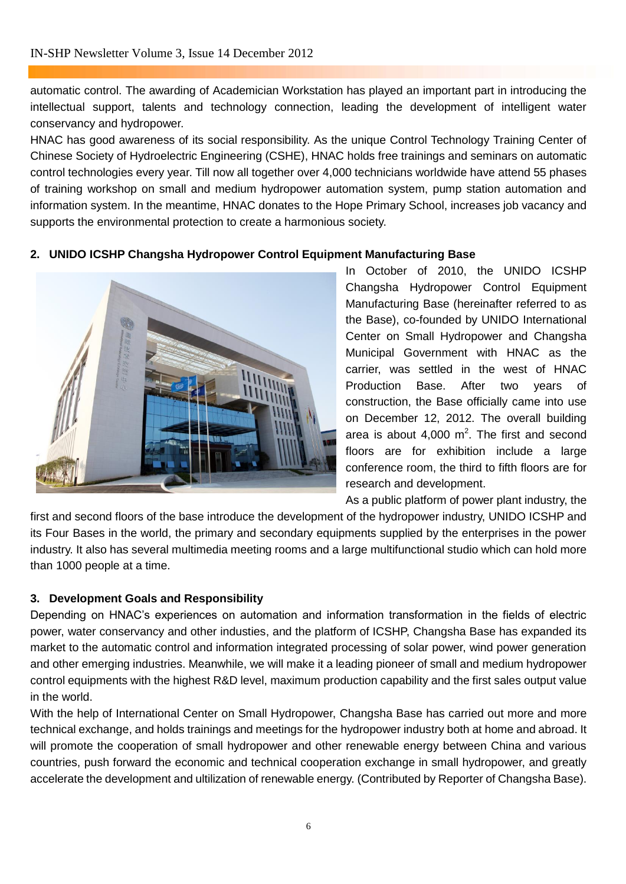automatic control. The awarding of Academician Workstation has played an important part in introducing the intellectual support, talents and technology connection, leading the development of intelligent water conservancy and hydropower.

HNAC has good awareness of its social responsibility. As the unique Control Technology Training Center of Chinese Society of Hydroelectric Engineering (CSHE), HNAC holds free trainings and seminars on automatic control technologies every year. Till now all together over 4,000 technicians worldwide have attend 55 phases of training workshop on small and medium hydropower automation system, pump station automation and information system. In the meantime, HNAC donates to the Hope Primary School, increases job vacancy and supports the environmental protection to create a harmonious society.

#### **2. UNIDO ICSHP Changsha Hydropower Control Equipment Manufacturing Base**



In October of 2010, the UNIDO ICSHP Changsha Hydropower Control Equipment Manufacturing Base (hereinafter referred to as the Base), co-founded by UNIDO International Center on Small Hydropower and Changsha Municipal Government with HNAC as the carrier, was settled in the west of HNAC Production Base. After two years of construction, the Base officially came into use on December 12, 2012. The overall building area is about  $4,000 \text{ m}^2$ . The first and second floors are for exhibition include a large conference room, the third to fifth floors are for research and development.

As a public platform of power plant industry, the first and second floors of the base introduce the development of the hydropower industry, UNIDO ICSHP and its Four Bases in the world, the primary and secondary equipments supplied by the enterprises in the power industry. It also has several multimedia meeting rooms and a large multifunctional studio which can hold more than 1000 people at a time.

#### **3. Development Goals and Responsibility**

Depending on HNAC's experiences on automation and information transformation in the fields of electric power, water conservancy and other industies, and the platform of ICSHP, Changsha Base has expanded its market to the automatic control and information integrated processing of solar power, wind power generation and other emerging industries. Meanwhile, we will make it a leading pioneer of small and medium hydropower control equipments with the highest R&D level, maximum production capability and the first sales output value in the world.

With the help of International Center on Small Hydropower, Changsha Base has carried out more and more technical exchange, and holds trainings and meetings for the hydropower industry both at home and abroad. It will promote the cooperation of small hydropower and other renewable energy between China and various countries, push forward the economic and technical cooperation exchange in small hydropower, and greatly accelerate the development and ultilization of renewable energy. (Contributed by Reporter of Changsha Base).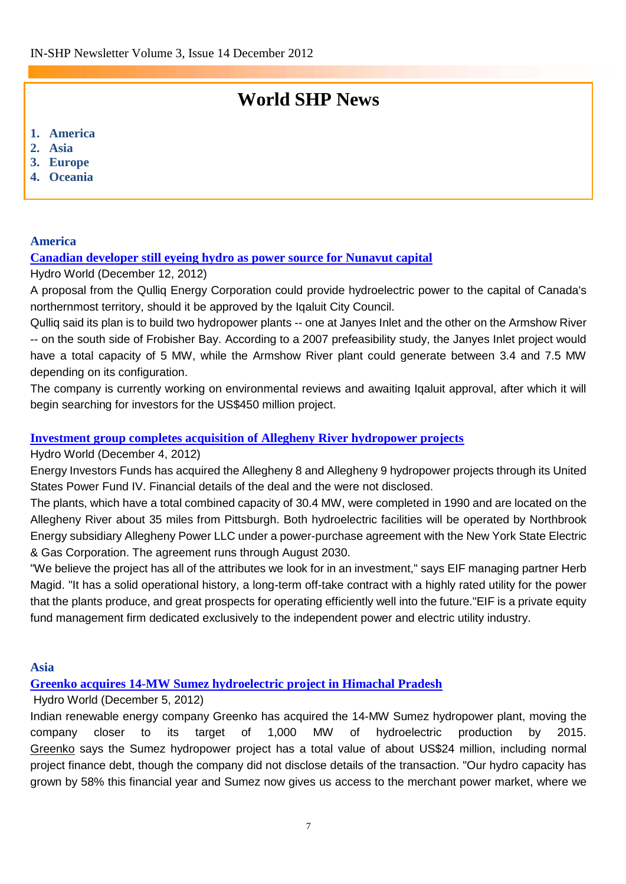# **World SHP News**

- **1. America**
- **2. Asia**
- **3. Europe**
- **4. Oceania**

#### **America**

#### **[Canadian developer still eyeing hydro as power source for Nunavut capital](http://www.hydroworld.com/articles/2012/12/canadian-developer-still-eying-hydro-as-power-source-for-nunavut-capital.html)**

#### Hydro World (December 12, 2012)

A proposal from the Qulliq Energy Corporation could provide hydroelectric power to the capital of Canada's northernmost territory, should it be approved by the Iqaluit City Council.

Qulliq said its plan is to build two hydropower plants -- one at Janyes Inlet and the other on the Armshow River -- on the south side of Frobisher Bay. According to a 2007 prefeasibility study, the Janyes Inlet project would have a total capacity of 5 MW, while the Armshow River plant could generate between 3.4 and 7.5 MW depending on its configuration.

The company is currently working on environmental reviews and awaiting Iqaluit approval, after which it will begin searching for investors for the US\$450 million project.

#### **[Investment group completes acquisition of Allegheny River hydropower projects](http://www.hydroworld.com/articles/2012/11/investment-group-completes-acquisition-of-allegheny-river-hydropower-projects.html)**

#### Hydro World (December 4, 2012)

Energy Investors Funds has acquired the Allegheny 8 and Allegheny 9 hydropower projects through its United States Power Fund IV. Financial details of the deal and the were not disclosed.

The plants, which have a total combined capacity of 30.4 MW, were completed in 1990 and are located on the Allegheny River about 35 miles from Pittsburgh. Both hydroelectric facilities will be operated by [Northbrook](http://buyersguide.pennwell.com/Search/HR/18026/northbrook-energy.html)  [Energy](http://buyersguide.pennwell.com/Search/HR/18026/northbrook-energy.html) subsidiary Allegheny Power LLC under a power-purchase agreement with the New York State Electric & Gas Corporation. The agreement runs through August 2030.

"We believe the project has all of the attributes we look for in an investment," says EIF managing partner Herb Magid. "It has a solid operational history, a long-term off-take contract with a highly rated utility for the power that the plants produce, and great prospects for operating efficiently well into the future."EIF is a private equity fund management firm dedicated exclusively to the independent power and electric utility industry.

#### **Asia**

#### **[Greenko acquires 14-MW Sumez hydroelectric project in Himachal Pradesh](http://www.hydroworld.com/articles/2012/11/greenko-acquires-14-mw-sumez-hydroelectric-project-in-himachal-pradesh.html)**

#### Hydro World (December 5, 2012)

Indian renewable energy company Greenko has acquired the 14-MW Sumez hydropower plant, moving the company closer to its target of 1,000 MW of hydroelectric production by 2015. [Greenko](http://www.hydroworld.com/articles/2010/07/greenko-to-acquire.html) says the Sumez hydropower project has a total value of about US\$24 million, including normal project finance debt, though the company did not disclose details of the transaction. "Our hydro capacity has grown by 58% this financial year and Sumez now gives us access to the merchant power market, where we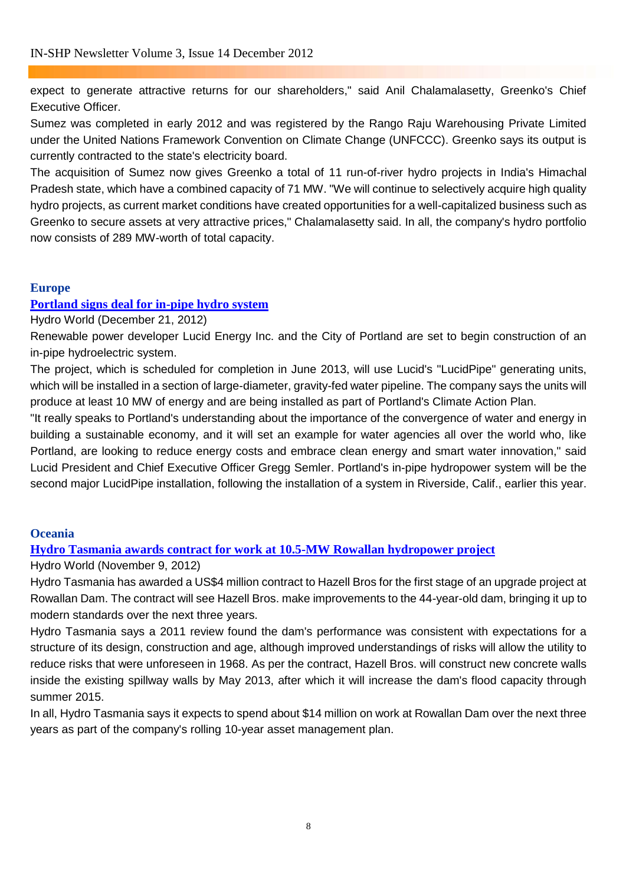expect to generate attractive returns for our shareholders," said Anil Chalamalasetty, Greenko's Chief Executive Officer.

Sumez was completed in early 2012 and was registered by the Rango Raju Warehousing Private Limited under the United Nations Framework Convention on Climate Change (UNFCCC). Greenko says its output is currently contracted to the state's electricity board.

The acquisition of Sumez now gives [Greenko](http://www.hydroworld.com/articles/2008/07/greenko-acquires-concessions-for-four-india-projects.html) a total of 11 run-of-river hydro projects in [India's Himachal](http://www.hydroworld.com/articles/2012/11/hydropower-development-continues-in-indias-himachal-pradesh-with-new-adb-loan.html)  [Pradesh state,](http://www.hydroworld.com/articles/2012/11/hydropower-development-continues-in-indias-himachal-pradesh-with-new-adb-loan.html) which have a combined capacity of 71 MW. "We will continue to selectively acquire high quality hydro projects, as current market conditions have created opportunities for a well-capitalized business such as Greenko to secure assets at very attractive prices," Chalamalasetty said. In all, the company's hydro portfolio now consists of 289 MW-worth of total capacity.

#### **Europe**

#### **[Portland signs deal for in-pipe hydro system](http://www.hydroworld.com/articles/2012/12/portland-signs-deal-for-in-pipe-hydro-system.html)**

Hydro World (December 21, 2012)

Renewable power developer Lucid Energy Inc. and the City of Portland are set to begin construction of an in-pipe hydroelectric system.

The project, which is scheduled for completion in June 2013, will use Lucid's "LucidPipe" generating units, which will be installed in a section of large-diameter, gravity-fed water pipeline. The company says the units will produce at least 10 MW of energy and are being installed as part of Portland's Climate Action Plan.

"It really speaks to Portland's understanding about the importance of the convergence of water and energy in building a sustainable economy, and it will set an example for water agencies all over the world who, like Portland, are looking to reduce energy costs and embrace clean energy and smart water innovation," said [Lucid](http://buyersguide.pennwell.com/Search/HR/17931/lucid-energy-technologies-llp.html) President and Chief Executive Officer Gregg Semler. Portland's in-pipe hydropower system will be the second major LucidPipe installation, [following the installation of a system in Riverside, Calif., earlier this year.](http://www.hydroworld.com/articles/hr/print/volume-31/issue-4/departments/tech-briefs.html)

#### **Oceania**

**[Hydro Tasmania awards contract for work at 10.5-MW Rowallan hydropower project](http://www.hydroworld.com/articles/2012/11/hydro-tasmania-awards-contract-for-work-at-105-mw-rowallan-hydropower-project.html)** 

Hydro World (November 9, 2012)

Hydro Tasmania has awarded a US\$4 million contract to Hazell Bros for the first stage of an upgrade project at Rowallan Dam. The contract will see Hazell Bros. make improvements to the 44-year-old dam, bringing it up to modern standards over the next three years.

[Hydro Tasmania](http://www.hydroworld.com/articles/2011/10/iha-performs-first.html) says a 2011 review found the dam's performance was consistent with expectations for a structure of its design, construction and age, although improved understandings of risks will allow the utility to reduce risks that were unforeseen in 1968. As per the contract, Hazell Bros. will construct new concrete walls inside the existing spillway walls by May 2013, after which it will increase the dam's flood capacity through summer 2015.

In all, Hydro Tasmania says it expects to spend about \$14 million on work at Rowallan Dam over the next three years as part of the company's rolling 10-year asset management plan.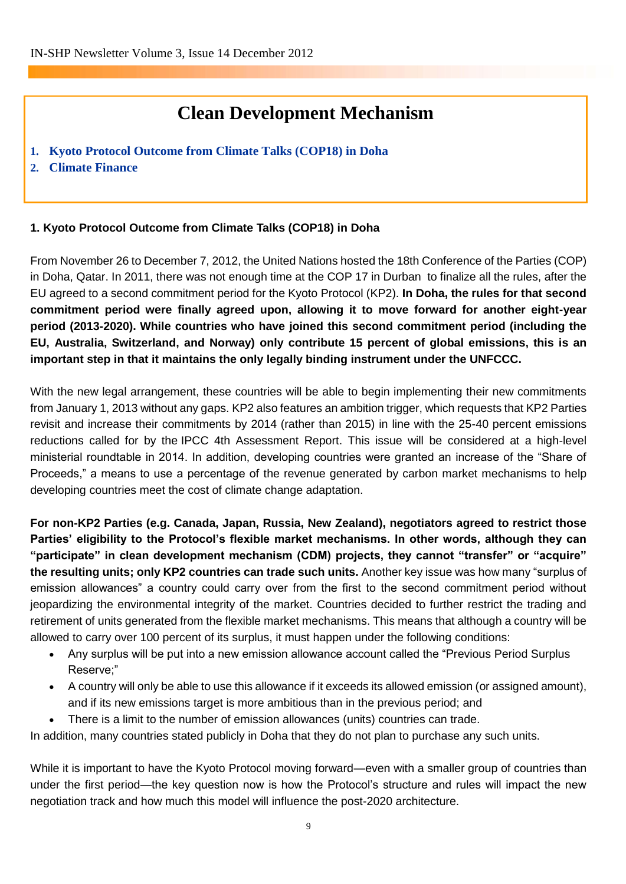### **Clean Development Mechanism**

- **1. Kyoto Protocol Outcome from Climate Talks (COP18) in Doha**
- **2. Climate Finance**

#### **1. Kyoto Protocol Outcome from Climate Talks (COP18) in Doha**

From November 26 to December 7, 2012, the United Nations hosted the 18th Conference of the Parties (COP) in Doha, Qatar. In 2011, there was not enough time at the COP 17 in Durban to finalize all the rules, after the EU agreed to a second commitment period for the Kyoto Protocol (KP2). **In Doha, the rules for that second commitment period were finally agreed upon, allowing it to move forward for another eight-year period (2013-2020). While countries who have joined this second commitment period (including the EU, Australia, Switzerland, and Norway) only contribute 15 percent of global emissions, this is an important step in that it maintains the only legally binding instrument under the UNFCCC.**

With the new legal arrangement, these countries will be able to begin implementing their new commitments from January 1, 2013 without any gaps. KP2 also features an ambition trigger, which requests that KP2 Parties revisit and increase their commitments by 2014 (rather than 2015) in line with the 25-40 percent emissions reductions called for by the [IPCC 4th Assessment Report.](http://www.ipcc.ch/publications_and_data/ar4/syr/en/contents.html) This issue will be considered at a high-level ministerial roundtable in 2014. In addition, developing countries were granted an increase of the "Share of Proceeds," a means to use a percentage of the revenue generated by carbon market mechanisms to help developing countries meet the cost of climate change adaptation.

**For non-KP2 Parties (e.g. Canada, Japan, Russia, New Zealand), negotiators agreed to restrict those Parties' eligibility to the Protocol's flexible market mechanisms. In other words, although they can "participate" in clean development mechanism (CDM) projects, they cannot "transfer" or "acquire" the resulting units; only KP2 countries can trade such units.** Another key issue was how many "surplus of emission allowances" a country could carry over from the first to the second commitment period without jeopardizing the environmental integrity of the market. Countries decided to further restrict the trading and retirement of units generated from the flexible market mechanisms. This means that although a country will be allowed to carry over 100 percent of its surplus, it must happen under the following conditions:

- Any surplus will be put into a new emission allowance account called the "Previous Period Surplus Reserve;"
- A country will only be able to use this allowance if it exceeds its allowed emission [\(or assigned amount\)](http://unfccc.int/kyoto_protocol/mechanisms/emissions_trading/items/2731.php), and if its new emissions target is more ambitious than in the previous period; and
- There is a limit to the number of emission allowances (units) countries can trade.

In addition, many countries stated publicly in Doha that they do not plan to purchase any such units.

While it is important to have the Kyoto Protocol moving forward—even with a smaller group of countries than under the first period—the key question now is how the Protocol's structure and rules will impact the new negotiation track and how much this model will influence the post-2020 architecture.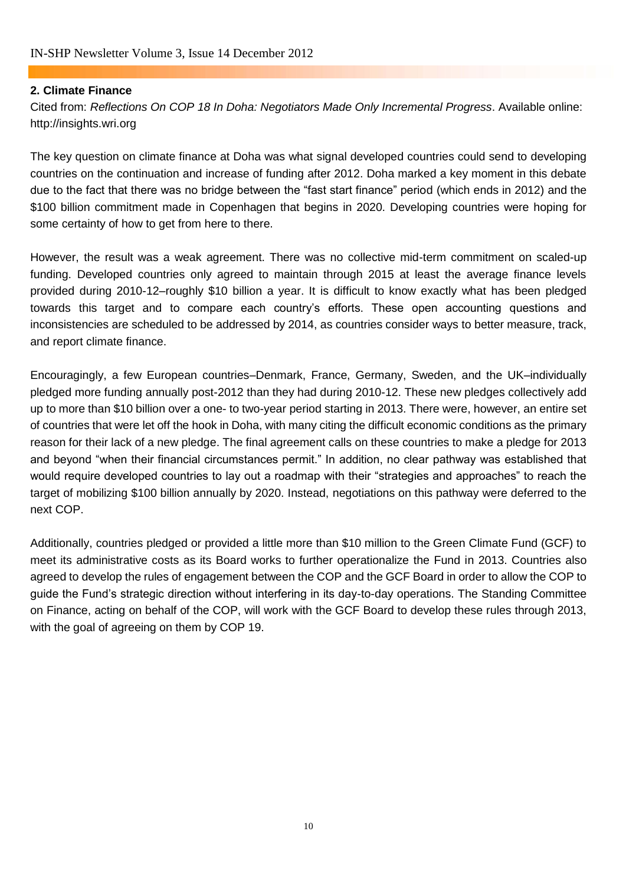#### **2. Climate Finance**

Cited from: *Reflections On COP 18 In Doha: Negotiators Made Only Incremental Progress*. Available online: [http://insights.wri.org](http://insights.wri.org/)

The key question on climate finance at Doha was what signal developed countries could send to developing countries on the continuation and increase of funding after 2012. Doha marked a key moment in this debate due to the fact that there was no bridge between the "fast start finance" period (which ends in 2012) and the \$100 billion commitment made in Copenhagen that begins in 2020. Developing countries were hoping for some certainty of how to get from here to there.

However, the result was a weak agreement. There was no collective mid-term commitment on scaled-up funding. Developed countries only agreed to maintain through 2015 at least the average finance levels provided during 2010-12–roughly \$10 billion a year. It is difficult to know exactly what has been pledged towards this target and to compare each country's efforts. These open accounting questions and inconsistencies are scheduled to be addressed by 2014, as countries consider ways to better measure, track, and report climate finance.

Encouragingly, a few European countries–Denmark, France, Germany, Sweden, and the UK–individually pledged more funding annually post-2012 than they had during 2010-12. These new pledges collectively add up to more than \$10 billion over a one- to two-year period starting in 2013. There were, however, an entire set of countries that were let off the hook in Doha, with many citing the difficult economic conditions as the primary reason for their lack of a new pledge. The final agreement calls on these countries to make a pledge for 2013 and beyond "when their financial circumstances permit." In addition, no clear pathway was established that would require developed countries to lay out a roadmap with their "strategies and approaches" to reach the target of mobilizing \$100 billion annually by 2020. Instead, negotiations on this pathway were deferred to the next COP.

Additionally, countries pledged or provided a little more than \$10 million to the Green Climate Fund (GCF) to meet its administrative costs as its Board works to further operationalize the Fund in 2013. Countries also agreed to develop the rules of engagement between the COP and the GCF Board in order to allow the COP to guide the Fund's strategic direction without interfering in its day-to-day operations. The Standing Committee on Finance, acting on behalf of the COP, will work with the GCF Board to develop these rules through 2013, with the goal of agreeing on them by COP 19.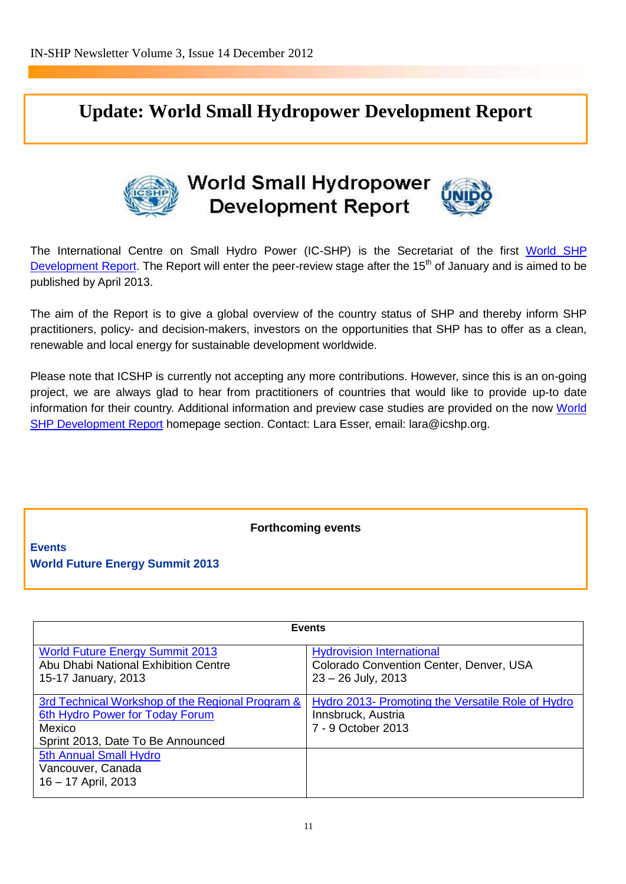# **Update: World Small Hydropower Development Report**



# **World Small Hydropower Development Report**



The International Centre on Small Hydro Power (IC-SHP) is the Secretariat of the first World SHP [Development Report.](http://www.inshp.org/wsr.asp?BID=50) The Report will enter the peer-review stage after the 15<sup>th</sup> of January and is aimed to be published by April 2013.

The aim of the Report is to give a global overview of the country status of SHP and thereby inform SHP practitioners, policy- and decision-makers, investors on the opportunities that SHP has to offer as a clean, renewable and local energy for sustainable development worldwide.

Please note that ICSHP is currently not accepting any more contributions. However, since this is an on-going project, we are always glad to hear from practitioners of countries that would like to provide up-to date information for their country. Additional information and preview case studies are provided on the now [World](http://www.inshp.org/wsr1.asp)  [SHP Development Report](http://www.inshp.org/wsr1.asp) homepage section. Contact: Lara Esser, email: [lara@icshp.org.](mailto:lara@icshp.org)

**Forthcoming events**

**Events World Future Energy Summit 2013** 

| <b>Events</b>                                                                                                                      |                                                                                                     |
|------------------------------------------------------------------------------------------------------------------------------------|-----------------------------------------------------------------------------------------------------|
| <b>World Future Energy Summit 2013</b><br>Abu Dhabi National Exhibition Centre<br>15-17 January, 2013                              | <b>Hydrovision International</b><br>Colorado Convention Center, Denver, USA<br>$23 - 26$ July, 2013 |
| 3rd Technical Workshop of the Regional Program &<br>6th Hydro Power for Today Forum<br>Mexico<br>Sprint 2013, Date To Be Announced | Hydro 2013- Promoting the Versatile Role of Hydro<br>Innsbruck, Austria<br>7 - 9 October 2013       |
| 5th Annual Small Hydro<br>Vancouver, Canada<br>16 - 17 April, 2013                                                                 |                                                                                                     |